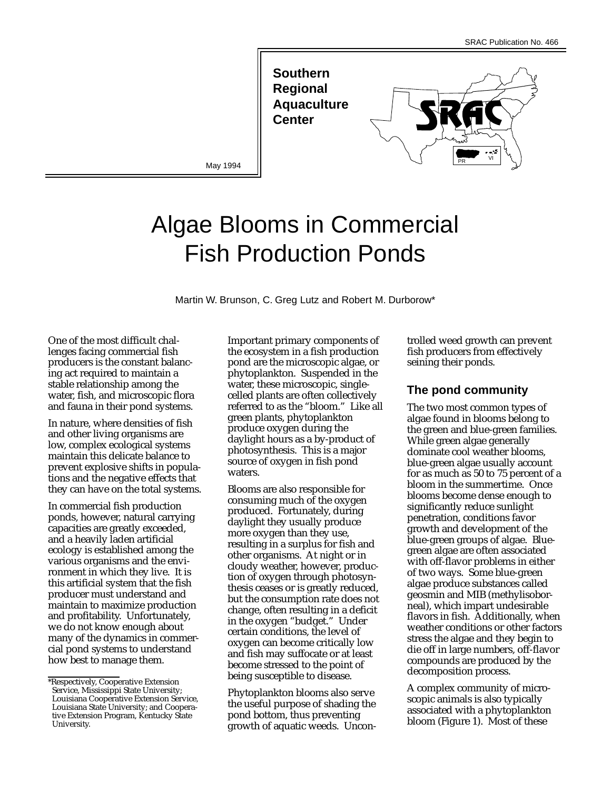**Southern Regional Aquaculture Center** 

May 1994



# Algae Blooms in Commercial Fish Production Ponds

Martin W. Brunson, C. Greg Lutz and Robert M. Durborow\*

One of the most difficult challenges facing commercial fish producers is the constant balancing act required to maintain a stable relationship among the water, fish, and microscopic flora and fauna in their pond systems.

In nature, where densities of fish and other living organisms are low, complex ecological systems maintain this delicate balance to prevent explosive shifts in populations and the negative effects that they can have on the total systems.

In commercial fish production ponds, however, natural carrying capacities are greatly exceeded, and a heavily laden artificial ecology is established among the various organisms and the environment in which they live. It is this artificial system that the fish producer must understand and maintain to maximize production and profitability. Unfortunately, we do not know enough about many of the dynamics in commercial pond systems to understand how best to manage them.

Important primary components of the ecosystem in a fish production pond are the microscopic algae, or phytoplankton. Suspended in the water, these microscopic, singlecelled plants are often collectively referred to as the "bloom." Like all green plants, phytoplankton produce oxygen during the daylight hours as a by-product of photosynthesis. This is a major source of oxygen in fish pond waters.

Blooms are also responsible for consuming much of the oxygen produced. Fortunately, during daylight they usually produce more oxygen than they use, resulting in a surplus for fish and other organisms. At night or in cloudy weather, however, production of oxygen through photosynthesis ceases or is greatly reduced, but the consumption rate does not change, often resulting in a deficit in the oxygen "budget." Under certain conditions, the level of oxygen can become critically low and fish may suffocate or at least become stressed to the point of being susceptible to disease.

Phytoplankton blooms also serve the useful purpose of shading the pond bottom, thus preventing growth of aquatic weeds. Uncontrolled weed growth can prevent fish producers from effectively seining their ponds.

# **The pond community**

The two most common types of algae found in blooms belong to the green and blue-green families. While green algae generally dominate cool weather blooms, blue-green algae usually account for as much as 50 to 75 percent of a bloom in the summertime. Once blooms become dense enough to significantly reduce sunlight penetration, conditions favor growth and development of the blue-green groups of algae. Bluegreen algae are often associated with off-flavor problems in either of two ways. Some blue-green algae produce substances called geosmin and MIB (methylisoborneal), which impart undesirable flavors in fish. Additionally, when weather conditions or other factors stress the algae and they begin to die off in large numbers, off-flavor compounds are produced by the decomposition process.

A complex community of microscopic animals is also typically associated with a phytoplankton bloom (Figure 1). Most of these

<sup>\*</sup>Respectively, Cooperative Extension Service, Mississippi State University; Louisiana Cooperative Extension Service, Louisiana State University; and Cooperative Extension Program, Kentucky State University.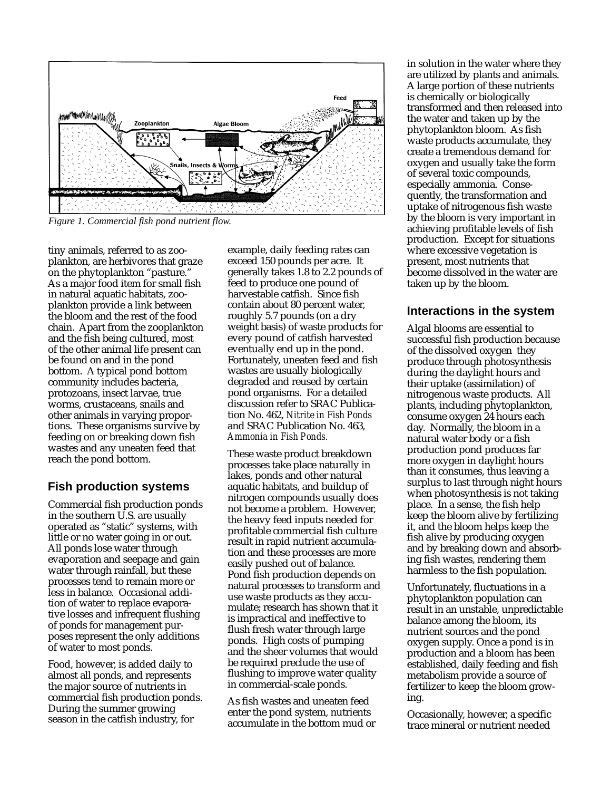

*Figure 1. Commercial fish pond nutrient flow.*

tiny animals, referred to as zooplankton, are herbivores that graze on the phytoplankton "pasture." As a major food item for small fish in natural aquatic habitats, zooplankton provide a link between the bloom and the rest of the food chain. Apart from the zooplankton and the fish being cultured, most of the other animal life present can be found on and in the pond bottom. A typical pond bottom community includes bacteria, protozoans, insect larvae, true worms, crustaceans, snails and other animals in varying proportions. These organisms survive by feeding on or breaking down fish wastes and any uneaten feed that reach the pond bottom.

## **Fish production systems**

Commercial fish production ponds in the southern U.S. are usually operated as "static" systems, with little or no water going in or out. All ponds lose water through evaporation and seepage and gain water through rainfall, but these processes tend to remain more or less in balance. Occasional addition of water to replace evaporative losses and infrequent flushing of ponds for management purposes represent the only additions of water to most ponds.

Food, however, is added daily to almost all ponds, and represents the major source of nutrients in commercial fish production ponds. During the summer growing season in the catfish industry, for

example, daily feeding rates can exceed 150 pounds per acre. It generally takes 1.8 to 2.2 pounds of feed to produce one pound of harvestable catfish. Since fish contain about 80 percent water, roughly 5.7 pounds (on a dry weight basis) of waste products for every pound of catfish harvested eventually end up in the pond. Fortunately, uneaten feed and fish wastes are usually biologically degraded and reused by certain pond organisms. For a detailed discussion refer to SRAC Publication No. 462, *Nitrite in Fish Ponds* and SRAC Publication No. 463, *Ammonia in Fish Ponds.*

These waste product breakdown processes take place naturally in lakes, ponds and other natural aquatic habitats, and buildup of nitrogen compounds usually does not become a problem. However, the heavy feed inputs needed for profitable commercial fish culture result in rapid nutrient accumulation and these processes are more easily pushed out of balance. Pond fish production depends on natural processes to transform and use waste products as they accumulate; research has shown that it is impractical and ineffective to flush fresh water through large ponds. High costs of pumping and the sheer volumes that would be required preclude the use of flushing to improve water quality in commercial-scale ponds.

As fish wastes and uneaten feed enter the pond system, nutrients accumulate in the bottom mud or in solution in the water where they are utilized by plants and animals. A large portion of these nutrients is chemically or biologically transformed and then released into the water and taken up by the phytoplankton bloom. As fish waste products accumulate, they create a tremendous demand for oxygen and usually take the form of several toxic compounds, especially ammonia. Consequently, the transformation and uptake of nitrogenous fish waste by the bloom is very important in achieving profitable levels of fish production. Except for situations where excessive vegetation is present, most nutrients that become dissolved in the water are taken up by the bloom.

#### **Interactions in the system**

Algal blooms are essential to successful fish production because of the dissolved oxygen they produce through photosynthesis during the daylight hours and their uptake (assimilation) of nitrogenous waste products. All plants, including phytoplankton, consume oxygen 24 hours each day. Normally, the bloom in a natural water body or a fish production pond produces far more oxygen in daylight hours than it consumes, thus leaving a surplus to last through night hours when photosynthesis is not taking place. In a sense, the fish help keep the bloom alive by fertilizing it, and the bloom helps keep the fish alive by producing oxygen and by breaking down and absorbing fish wastes, rendering them harmless to the fish population.

Unfortunately, fluctuations in a phytoplankton population can result in an unstable, unpredictable balance among the bloom, its nutrient sources and the pond oxygen supply. Once a pond is in production and a bloom has been established, daily feeding and fish metabolism provide a source of fertilizer to keep the bloom growing.

Occasionally, however, a specific trace mineral or nutrient needed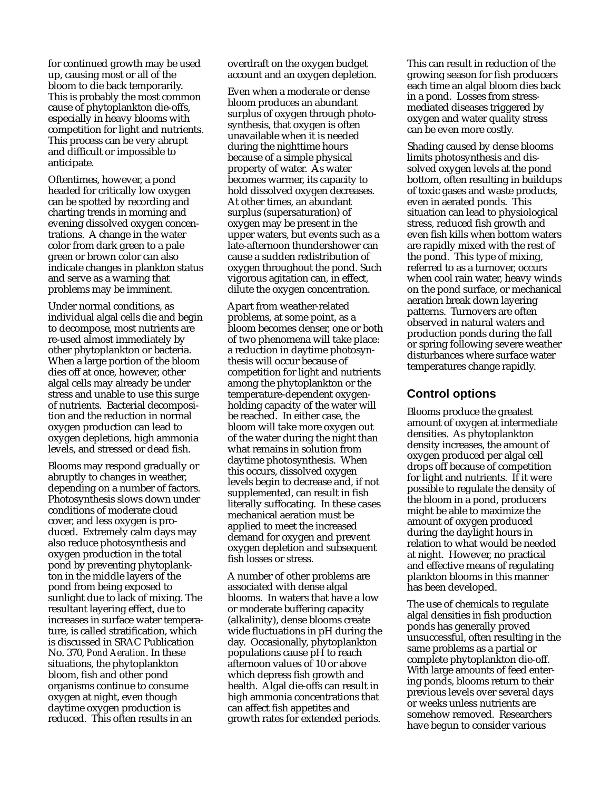for continued growth may be used up, causing most or all of the bloom to die back temporarily. This is probably the most common cause of phytoplankton die-offs, especially in heavy blooms with competition for light and nutrients. This process can be very abrupt and difficult or impossible to anticipate.

Oftentimes, however, a pond headed for critically low oxygen can be spotted by recording and charting trends in morning and evening dissolved oxygen concentrations. A change in the water color from dark green to a pale green or brown color can also indicate changes in plankton status and serve as a warning that problems may be imminent.

Under normal conditions, as individual algal cells die and begin to decompose, most nutrients are re-used almost immediately by other phytoplankton or bacteria. When a large portion of the bloom dies off at once, however, other algal cells may already be under stress and unable to use this surge of nutrients. Bacterial decomposition and the reduction in normal oxygen production can lead to oxygen depletions, high ammonia levels, and stressed or dead fish.

Blooms may respond gradually or abruptly to changes in weather, depending on a number of factors. Photosynthesis slows down under conditions of moderate cloud cover, and less oxygen is produced. Extremely calm days may also reduce photosynthesis and oxygen production in the total pond by preventing phytoplankton in the middle layers of the pond from being exposed to sunlight due to lack of mixing. The resultant layering effect, due to increases in surface water temperature, is called stratification, which is discussed in SRAC Publication No. 370, *Pond Aeration*. In these situations, the phytoplankton bloom, fish and other pond organisms continue to consume oxygen at night, even though daytime oxygen production is reduced. This often results in an

overdraft on the oxygen budget account and an oxygen depletion.

Even when a moderate or dense bloom produces an abundant surplus of oxygen through photosynthesis, that oxygen is often unavailable when it is needed during the nighttime hours because of a simple physical property of water. As water becomes warmer, its capacity to hold dissolved oxygen decreases. At other times, an abundant surplus (supersaturation) of oxygen may be present in the upper waters, but events such as a late-afternoon thundershower can cause a sudden redistribution of oxygen throughout the pond. Such vigorous agitation can, in effect, dilute the oxygen concentration.

Apart from weather-related problems, at some point, as a bloom becomes denser, one or both of two phenomena will take place: a reduction in daytime photosynthesis will occur because of competition for light and nutrients among the phytoplankton or the temperature-dependent oxygenholding capacity of the water will be reached. In either case, the bloom will take more oxygen out of the water during the night than what remains in solution from daytime photosynthesis. When this occurs, dissolved oxygen levels begin to decrease and, if not supplemented, can result in fish literally suffocating. In these cases mechanical aeration must be applied to meet the increased demand for oxygen and prevent oxygen depletion and subsequent fish losses or stress.

A number of other problems are associated with dense algal blooms. In waters that have a low or moderate buffering capacity (alkalinity), dense blooms create wide fluctuations in pH during the day. Occasionally, phytoplankton populations cause pH to reach afternoon values of 10 or above which depress fish growth and health. Algal die-offs can result in high ammonia concentrations that can affect fish appetites and growth rates for extended periods.

This can result in reduction of the growing season for fish producers each time an algal bloom dies back in a pond. Losses from stressmediated diseases triggered by oxygen and water quality stress can be even more costly.

Shading caused by dense blooms limits photosynthesis and dissolved oxygen levels at the pond bottom, often resulting in buildups of toxic gases and waste products, even in aerated ponds. This situation can lead to physiological stress, reduced fish growth and even fish kills when bottom waters are rapidly mixed with the rest of the pond. This type of mixing, referred to as a turnover, occurs when cool rain water, heavy winds on the pond surface, or mechanical aeration break down layering patterns. Turnovers are often observed in natural waters and production ponds during the fall or spring following severe weather disturbances where surface water temperatures change rapidly.

## **Control options**

Blooms produce the greatest amount of oxygen at intermediate densities. As phytoplankton density increases, the amount of oxygen produced per algal cell drops off because of competition for light and nutrients. If it were possible to regulate the density of the bloom in a pond, producers might be able to maximize the amount of oxygen produced during the daylight hours in relation to what would be needed at night. However, no practical and effective means of regulating plankton blooms in this manner has been developed.

The use of chemicals to regulate algal densities in fish production ponds has generally proved unsuccessful, often resulting in the same problems as a partial or complete phytoplankton die-off. With large amounts of feed entering ponds, blooms return to their previous levels over several days or weeks unless nutrients are somehow removed. Researchers have begun to consider various